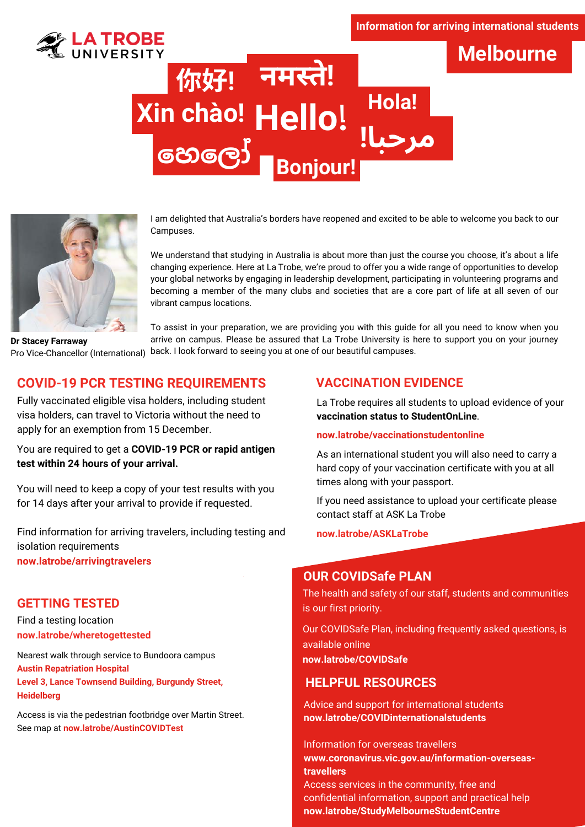#### **Information for arriving international students**

**Melbourne**



# **Hello! Xin chào! مرحبا! नमस्ते!ते** 你好**! හෙ ලෝ Bonjour! Hola!**



I am delighted that Australia's borders have reopened and excited to be able to welcome you back to our Campuses.

We understand that studying in Australia is about more than just the course you choose, it's about a life changing experience. Here at La Trobe, we're proud to offer you a wide range of opportunities to develop your global networks by engaging in leadership development, participating in volunteering programs and becoming a member of the many clubs and societies that are a core part of life at all seven of our vibrant campus locations.

**Dr Stacey Farraway** Pro Vice-Chancellor (International)

To assist in your preparation, we are providing you with this guide for all you need to know when you arrive on campus. Please be assured that La Trobe University is here to support you on your journey back. I look forward to seeing you at one of our beautiful campuses.

# **COVID-19 PCR TESTING REQUIREMENTS**

Fully vaccinated eligible visa holders, including student visa holders, can travel to Victoria without the need to apply for an exemption from 15 December.

You are required to get a **COVID-19 PCR or rapid antigen test within 24 hours of your arrival.**

You will need to keep a copy of your test results with you for 14 days after your arrival to provide if requested.

Find information for arriving travelers, including testing and isolation requirements **now.latrobe/arrivingtravelers**

### **GETTING TESTED**

Find a testing location **now.latrobe/wheretogettested**

Nearest walk through service to Bundoora campus **Austin Repatriation Hospital Level 3, Lance Townsend Building, Burgundy Street, Heidelberg**

Access is via the pedestrian footbridge over Martin Street. See map at **now.latrobe/AustinCOVIDTest**

### **VACCINATION EVIDENCE**

La Trobe requires all students to upload evidence of your **vaccination status to StudentOnLine**.

#### **now.latrobe/vaccinationstudentonline**

As an international student you will also need to carry a hard copy of your vaccination certificate with you at all times along with your passport.

If you need assistance to upload your certificate please contact staff at ASK La Trobe

**now.latrobe/ASKLaTrobe**

### **OUR COVIDSafe PLAN**

The health and safety of our staff, students and communities is our first priority.

Our COVIDSafe Plan, including frequently asked questions, is available online **now.latrobe/COVIDSafe**

### **HELPFUL RESOURCES**

Advice and support for international students **[now.latrobe/COVIDinternationalstudents](https://www.coronavirus.vic.gov.au/coronavirus-covid-19-advice-international-students)**

Information for overseas travellers **www.coronavirus.vic.gov.au/information-overseastravellers**

Access services in the community, free and confidential information, support and practical help **now.latrobe/StudyMelbourneStudentCentre**